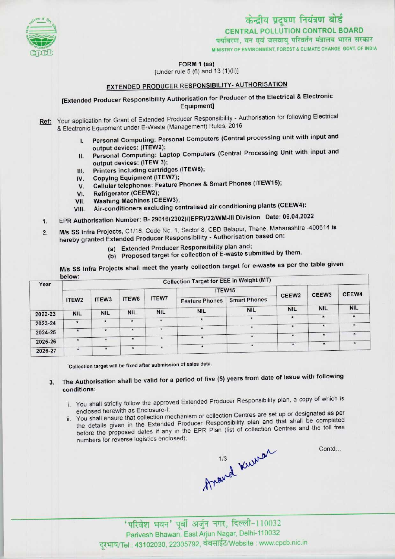

# $\frac{1}{\frac{1}{\frac{1}{2}}\sqrt{\frac{1}{2}}}}$ <br>
EDREAL POLLUTION CONTROL BOARD<br>
TORM 1 (aa)<br>
[Under rule 5 (6) and 13 (1)(ii)] CENTRAL POLLUTION CONTROL BOARD ्षयविरण, वन एवं जलवायु परिवर्तन मंत्रालय भारत सरकार<br>MINISTRY OF ENVIRONMENT, FOREST & CLIMATE CHANGE GOVT, OF INDIA

FORM 1 (aa)

[Under rule 5 (6) and 13 (1)(ii)]

# EXTENDED PRODUCER RESPONSIBILITY- AUTHORISATION

# [Extended Producer Responsibility Authorisation for Producer of the Electrical & Electronic Equipment]

Ref: Your application for Grant of Extended Producer Responsibility - Authorisation for following Electrical & Electronic Equipment under E-Waste (Management) Rules, 2016

- I. Personal Computing: Personal Computers (Central processing unit with input and output devices: (1TEW2);
- II. Personal Computing: Laptop Computers (Central Processing Unit with input and output devices: (ITEW 3);
- III. Printers including cartridges (ITEW6);<br>IV. Copying Equipment (ITEW7);
- 
- IV. Copying Equipment (ITEW7);<br>V. Cellular telephones: Feature I III. Printers including cartridges (ITEW6);<br>V. Copying Equipment (ITEW7);<br>V. Cellular telephones: Feature Phones & Smart Phones (ITEW15); IV. Copying Equipment (I)<br>V. Cellular telephones: F<br>VI. Refrigerator (CEEW2);
- 
- VI. Refrigerator (CEEW2);<br>VII. Washing Machines (CEEW3);<br>VIII. Air-conditioners excluding ce
- Air-conditioners excluding centralised air conditioning plants (CEEW4):
- 1.EPR Authorisation Number: B- 29016(2302)/(EPR)/22/WM-lll Division Date: 06.04.2022
- 2. M/s SS Infra Projects, C1/16, Code No. 1, Sector 8, CBD Belapur, Thane, Maharashtra -400614 is hereby granted Extended Producer Responsibility - Authorisation based on:
	- (a)Extended Producer Responsibility plan and;
	- (b) Proposed target for collection of E-waste submitted by them.

M/s SS Infra Projects shall meet the yearly collection target for e-waste as per the table given below:

| Year    | Delow.<br><b>Collection Target for EEE in Weight (MT)</b> |                   |            |              |                       |                     |                   |                   |               |
|---------|-----------------------------------------------------------|-------------------|------------|--------------|-----------------------|---------------------|-------------------|-------------------|---------------|
|         |                                                           | ITEW <sub>3</sub> | ITEW6      | <b>ITEW7</b> | ITEW15                |                     | CEEW <sub>2</sub> | CEEW <sub>3</sub> | CEEW4         |
|         | ITEW <sub>2</sub>                                         |                   |            |              | <b>Feature Phones</b> | <b>Smart Phones</b> |                   |                   |               |
|         |                                                           |                   | <b>NIL</b> | <b>NIL</b>   | <b>NIL</b>            | <b>NIL</b>          | <b>NIL</b>        | <b>NIL</b>        | <b>NIL</b>    |
| 2022-23 | <b>NIL</b>                                                | <b>NIL</b>        |            |              |                       | $\star$             | $\star$           | $\pmb{\ast}$      | $\pmb{\star}$ |
| 2023-24 | $\star$                                                   | $\star$           | $\star$    | $\star$      | $\star$               |                     |                   |                   | $\star$       |
|         |                                                           | $\star$           | $\star$    | $\star$      | $\ddot{\phantom{1}}$  | $\star$             | $\star$           | $\star$           |               |
| 2024-25 |                                                           |                   |            |              |                       |                     | $\star$           |                   |               |
| 2025-26 |                                                           |                   | $\star$    | $\star$      |                       |                     |                   |                   |               |
|         |                                                           |                   |            |              |                       | $\star$             | $\star$           | $\star$           | $\star$       |
| 2026-27 |                                                           | ÷                 |            |              |                       |                     |                   |                   |               |

Collection target will be fixed after submission of sales data.

### The Authorisation shall be valid for a period of five (5) years from date of issue with following  $3.$ conditions:

- i. You shall strictly follow the approved Extended Producer Responsibility plan, a copy of which is enclosed herewith as Enclosure-1;
- ii. You shall ensure that collection mechanism or collection Centres are set up or designated as per the details given in the Extended Producer Responsibility plan and that shall be completed before the proposed dates if any in the EPR Plan (list of collection Centres and the toll free numbers for reverse logistics enclosed);

thand kning

Contd...

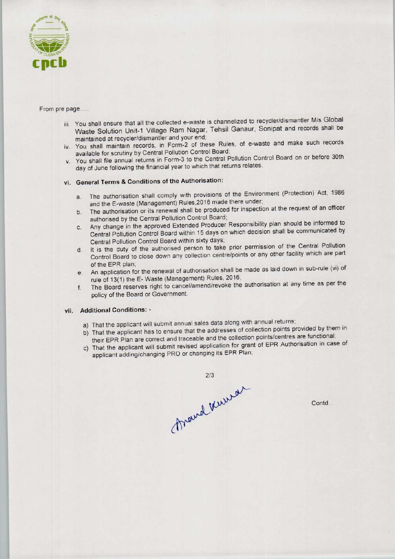

### From pre page.....

- iii. You shall ensure that all the collected e-waste is channelized to recycler/dismantler M/s Global Waste Solution Unit-1 Village Ram Nagar, Tehsil Ganaur, Sonipat and records shall be maintained at recycler/dismantler and your end;
- iv. You shall maintain records, in Form-2 of these Rules, of e-waste and make such records available for scrutiny by Central Pollution Control Board;
- v. You shall file annual returns in Form-3 to the Central Pollution Control Board on or before 30th day of June following the financial year to which that returns relates.

## vi. General Terms & Conditions of the Authorisation:

- a. The authorisation shall comply with provisions of the Environment (Protection) Act, 1986 and the E-waste (Management) Rules,2016 made there under;
- b.The authorisation or its renewal shall be produced for inspection at the request of an officer authorised by the Central Pollution Control Board;
- c.Any change in the approved Extended Producer Responsibility plan should be informed to Central Pollution Control Board within 15 days on which decision shall be communicated by Central Pollution Control Board within sixty days;
- d.It is the duty of the authorised person to take prior permission of the Central Pollution Control Board to close down any collection centre/points or any other facility which are part of the EPR plan;
- e. An application for the renewal of authorisation shall be made as laid down in sub-rule (vi) of rule of 13(1} the E-Waste (Management) Rules, 2016;
- f. The Board reserves right to cancel/amend/revoke the authorisation at any time as per the policy of the Board or Government.

### vii. Additional Conditions: -

- a) That the applicant will submit annual sales data along with annual returns;
- b) That the applicant has to ensure that the addresses of collection points provided by them in their EPR Plan are correct and traceable and the collection points/centres are functional;
- c) That the applicant will submit revised application for grant of EPR Authorisation in case of applicant adding/changing PRO or changing its EPR Plan;



Contd...